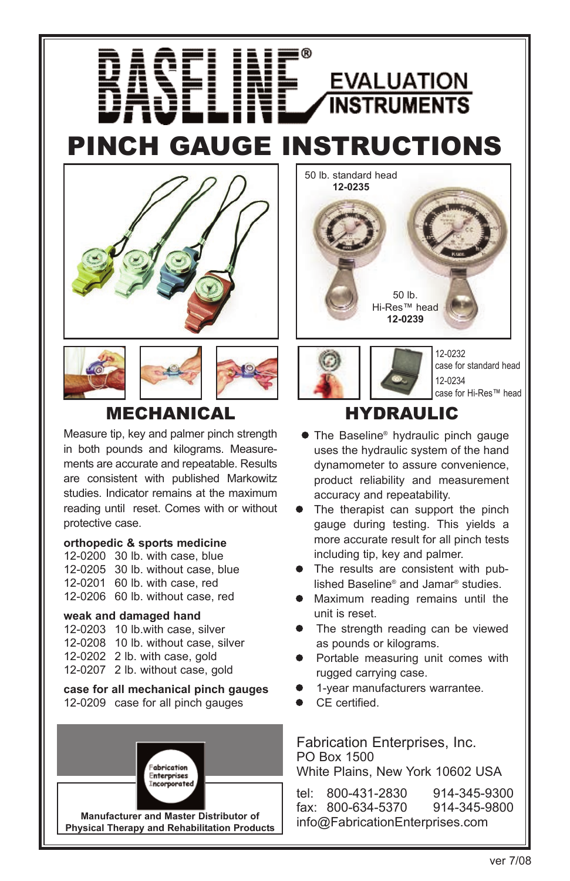



### MECHANICAL

Measure tip, key and palmer pinch strength in both pounds and kilograms. Measurements are accurate and repeatable. Results are consistent with published Markowitz studies. Indicator remains at the maximum reading until reset. Comes with or without protective case.

#### **orthopedic & sports medicine**

12-0200 30 lb. with case, blue 12-0205 30 lb. without case, blue 12-0201 60 lb. with case, red 12-0206 60 lb. without case, red

#### **weak and damaged hand**

12-0203 10 lb.with case, silver 12-0208 10 lb. without case, silver 12-0202 2 lb. with case, gold 12-0207 2 lb. without case, gold

**case for all mechanical pinch gauges** 12-0209 case for all pinch gauges



**Manufacturer and Master Distributor of Physical Therapy and Rehabilitation Products**



**EVALUATION INSTRUMENTS** 

HYDRAULIC

- The Baseline® hydraulic pinch gauge uses the hydraulic system of the hand dynamometer to assure convenience, product reliability and measurement accuracy and repeatability.
- The therapist can support the pinch gauge during testing. This yields a more accurate result for all pinch tests including tip, key and palmer.
- The results are consistent with published Baseline® and Jamar® studies.
- **•** Maximum reading remains until the unit is reset.
- The strength reading can be viewed as pounds or kilograms.
- Portable measuring unit comes with rugged carrying case.
- l 1-year manufacturers warrantee.
- CE certified.

Fabrication Enterprises, Inc. PO Box 1500 White Plains, New York 10602 USA

tel: 800-431-2830 914-345-9300<br>fax: 800-634-5370 914-345-9800 fax: 800-634-5370 info@FabricationEnterprises.com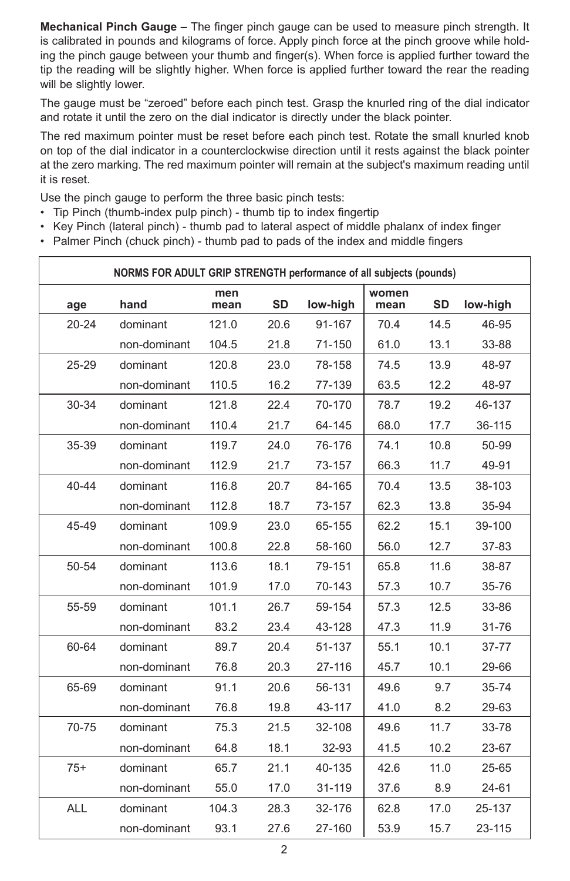**Mechanical Pinch Gauge –** The finger pinch gauge can be used to measure pinch strength. It is calibrated in pounds and kilograms of force. Apply pinch force at the pinch groove while holding the pinch gauge between your thumb and finger(s). When force is applied further toward the tip the reading will be slightly higher. When force is applied further toward the rear the reading will be slightly lower.

The gauge must be "zeroed" before each pinch test. Grasp the knurled ring of the dial indicator and rotate it until the zero on the dial indicator is directly under the black pointer.

The red maximum pointer must be reset before each pinch test. Rotate the small knurled knob on top of the dial indicator in a counterclockwise direction until it rests against the black pointer at the zero marking. The red maximum pointer will remain at the subject's maximum reading until it is reset.

Use the pinch gauge to perform the three basic pinch tests:

- Tip Pinch (thumb-index pulp pinch) thumb tip to index fingertip
- Key Pinch (lateral pinch) thumb pad to lateral aspect of middle phalanx of index finger
- Palmer Pinch (chuck pinch) thumb pad to pads of the index and middle fingers

| NORMS FOR ADULT GRIP STRENGTH performance of all subjects (pounds) |              |             |           |          |               |           |           |  |
|--------------------------------------------------------------------|--------------|-------------|-----------|----------|---------------|-----------|-----------|--|
| age                                                                | hand         | men<br>mean | <b>SD</b> | low-high | women<br>mean | <b>SD</b> | low-high  |  |
| $20 - 24$                                                          | dominant     | 121.0       | 20.6      | 91-167   | 70.4          | 14.5      | 46-95     |  |
|                                                                    | non-dominant | 104.5       | 21.8      | 71-150   | 61.0          | 13.1      | 33-88     |  |
| $25 - 29$                                                          | dominant     | 120.8       | 23.0      | 78-158   | 74.5          | 13.9      | 48-97     |  |
|                                                                    | non-dominant | 110.5       | 16.2      | 77-139   | 63.5          | 12.2      | 48-97     |  |
| $30 - 34$                                                          | dominant     | 121.8       | 22.4      | 70-170   | 78.7          | 19.2      | 46-137    |  |
|                                                                    | non-dominant | 110.4       | 21.7      | 64-145   | 68.0          | 17.7      | 36-115    |  |
| 35-39                                                              | dominant     | 119.7       | 24.0      | 76-176   | 74.1          | 10.8      | 50-99     |  |
|                                                                    | non-dominant | 112.9       | 21.7      | 73-157   | 66.3          | 11.7      | 49-91     |  |
| $40 - 44$                                                          | dominant     | 116.8       | 20.7      | 84-165   | 70.4          | 13.5      | 38-103    |  |
|                                                                    | non-dominant | 112.8       | 18.7      | 73-157   | 62.3          | 13.8      | 35-94     |  |
| 45-49                                                              | dominant     | 109.9       | 23.0      | 65-155   | 62.2          | 15.1      | 39-100    |  |
|                                                                    | non-dominant | 100.8       | 22.8      | 58-160   | 56.0          | 12.7      | 37-83     |  |
| 50-54                                                              | dominant     | 113.6       | 18.1      | 79-151   | 65.8          | 11.6      | 38-87     |  |
|                                                                    | non-dominant | 101.9       | 17.0      | 70-143   | 57.3          | 10.7      | 35-76     |  |
| 55-59                                                              | dominant     | 101.1       | 26.7      | 59-154   | 57.3          | 12.5      | 33-86     |  |
|                                                                    | non-dominant | 83.2        | 23.4      | 43-128   | 47.3          | 11.9      | 31-76     |  |
| 60-64                                                              | dominant     | 89.7        | 20.4      | 51-137   | 55.1          | 10.1      | 37-77     |  |
|                                                                    | non-dominant | 76.8        | 20.3      | 27-116   | 45.7          | 10.1      | 29-66     |  |
| 65-69                                                              | dominant     | 91.1        | 20.6      | 56-131   | 49.6          | 9.7       | $35 - 74$ |  |
|                                                                    | non-dominant | 76.8        | 19.8      | 43-117   | 41.0          | 8.2       | 29-63     |  |
| 70-75                                                              | dominant     | 75.3        | 21.5      | 32-108   | 49.6          | 11.7      | 33-78     |  |
|                                                                    | non-dominant | 64.8        | 18.1      | 32-93    | 41.5          | 10.2      | 23-67     |  |
| $75+$                                                              | dominant     | 65.7        | 21.1      | 40-135   | 42.6          | 11.0      | 25-65     |  |
|                                                                    | non-dominant | 55.0        | 17.0      | 31-119   | 37.6          | 8.9       | 24-61     |  |
| <b>ALL</b>                                                         | dominant     | 104.3       | 28.3      | 32-176   | 62.8          | 17.0      | 25-137    |  |
|                                                                    | non-dominant | 93.1        | 27.6      | 27-160   | 53.9          | 15.7      | 23-115    |  |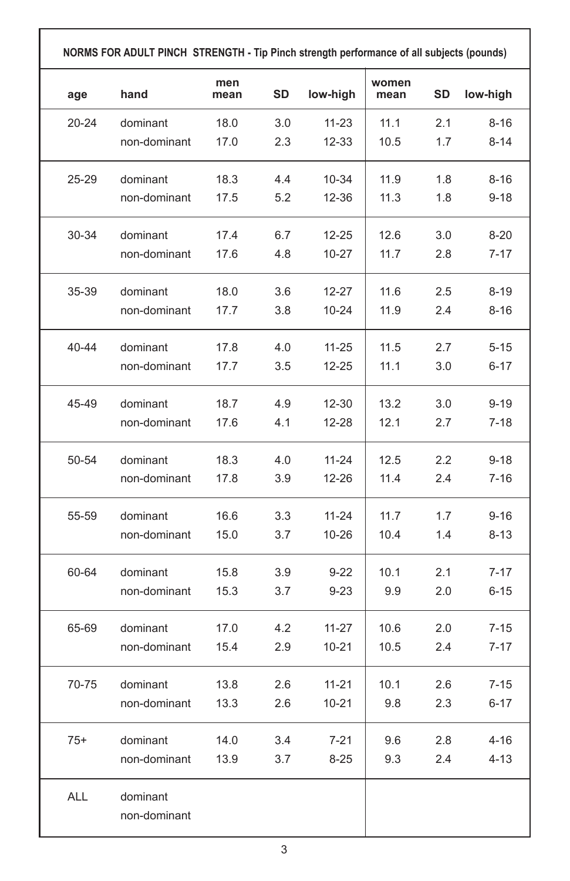| age<br>$20 - 24$<br>25-29<br>30-34 | hand<br>dominant<br>non-dominant<br>dominant<br>non-dominant | mean<br>18.0<br>17.0<br>18.3 | SD<br>3.0<br>2.3 | low-high<br>$11 - 23$<br>12-33 | mean<br>11.1 | SD<br>2.1 | low-high |
|------------------------------------|--------------------------------------------------------------|------------------------------|------------------|--------------------------------|--------------|-----------|----------|
|                                    |                                                              |                              |                  |                                |              |           |          |
|                                    |                                                              |                              |                  |                                |              |           | $8 - 16$ |
|                                    |                                                              |                              |                  |                                | 10.5         | 1.7       | $8 - 14$ |
|                                    |                                                              |                              | 4.4              | 10-34                          | 11.9         | 1.8       | $8 - 16$ |
|                                    |                                                              | 17.5                         | 5.2              | 12-36                          | 11.3         | 1.8       | $9 - 18$ |
|                                    | dominant                                                     | 17.4                         | 6.7              | 12-25                          | 12.6         | 3.0       | $8 - 20$ |
|                                    | non-dominant                                                 | 17.6                         | 4.8              | 10-27                          | 11.7         | 2.8       | $7 - 17$ |
| 35-39                              | dominant                                                     | 18.0                         | 3.6              | 12-27                          | 11.6         | 2.5       | 8-19     |
|                                    | non-dominant                                                 | 17.7                         | 3.8              | 10-24                          | 11.9         | 2.4       | $8 - 16$ |
| 40-44                              | dominant                                                     | 17.8                         | 4.0              | 11-25                          | 11.5         | 2.7       | $5 - 15$ |
|                                    | non-dominant                                                 | 17.7                         | 3.5              | $12 - 25$                      | 11.1         | 3.0       | $6 - 17$ |
| 45-49                              | dominant                                                     | 18.7                         | 4.9              | 12-30                          | 13.2         | 3.0       | $9 - 19$ |
|                                    | non-dominant                                                 | 17.6                         | 4.1              | 12-28                          | 12.1         | 2.7       | $7-18$   |
| 50-54                              | dominant                                                     | 18.3                         | 4.0              | 11-24                          | 12.5         | 2.2       | $9-18$   |
|                                    | non-dominant                                                 | 17.8                         | 3.9              | 12-26                          | 11.4         | 2.4       | 7-16     |
| 55-59                              | dominant                                                     | 16.6                         | 3.3              | 11-24                          | 11.7         | 1.7       | $9 - 16$ |
|                                    | non-dominant                                                 | 15.0                         | 3.7              | 10-26                          | 10.4         | 1.4       | $8 - 13$ |
| 60-64                              | dominant                                                     | 15.8                         | 3.9              | $9-22$                         | 10.1         | 2.1       | $7 - 17$ |
|                                    | non-dominant                                                 | 15.3                         | 3.7              | $9-23$                         | 9.9          | 2.0       | $6 - 15$ |
| 65-69                              | dominant                                                     | 17.0                         | 4.2              | 11-27                          | 10.6         | 2.0       | $7-15$   |
|                                    | non-dominant                                                 | 15.4                         | 2.9              | $10 - 21$                      | 10.5         | 2.4       | $7 - 17$ |
| 70-75                              | dominant                                                     | 13.8                         | 2.6              | $11 - 21$                      | 10.1         | 2.6       | 7-15     |
|                                    | non-dominant                                                 | 13.3                         | 2.6              | $10 - 21$                      | 9.8          | 2.3       | $6 - 17$ |
| 75+                                | dominant                                                     | 14.0                         | 3.4              | $7 - 21$                       | 9.6          | 2.8       | $4 - 16$ |
|                                    | non-dominant                                                 | 13.9                         | 3.7              | $8 - 25$                       | 9.3          | 2.4       | $4 - 13$ |
| <b>ALL</b>                         | dominant                                                     |                              |                  |                                |              |           |          |
|                                    | non-dominant                                                 |                              |                  |                                |              |           |          |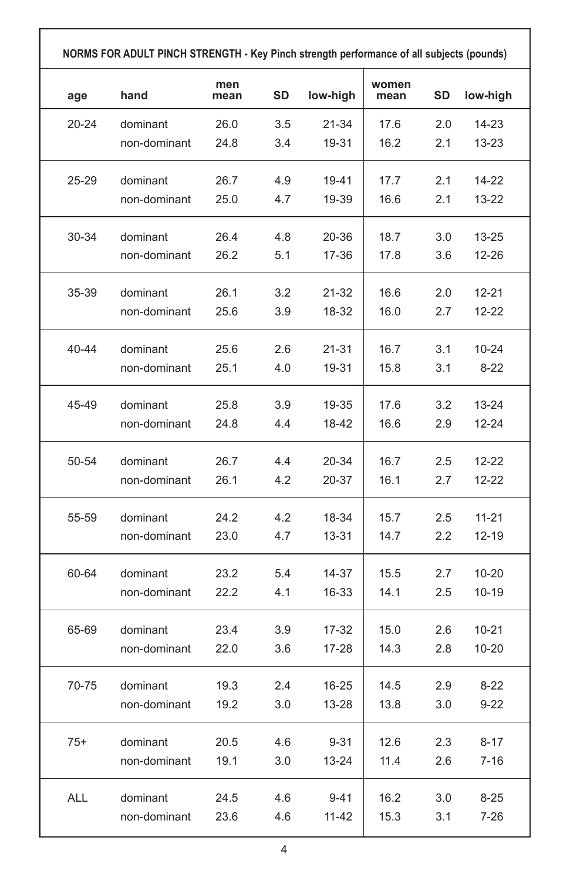| NORMS FOR ADULT PINCH STRENGTH - Key Pinch strength performance of all subjects (pounds) |              |             |           |           |               |                  |           |
|------------------------------------------------------------------------------------------|--------------|-------------|-----------|-----------|---------------|------------------|-----------|
| age                                                                                      | hand         | men<br>mean | <b>SD</b> | low-high  | women<br>mean | <b>SD</b>        | low-high  |
| 20-24                                                                                    | dominant     | 26.0        | 3.5       | 21-34     | 17.6          | 2.0              | 14-23     |
|                                                                                          | non-dominant | 24.8        | 3.4       | 19-31     | 16.2          | 2.1              | 13-23     |
| 25-29                                                                                    | dominant     | 26.7        | 4.9       | 19-41     | 17.7          | 2.1              | 14-22     |
|                                                                                          | non-dominant | 25.0        | 4.7       | 19-39     | 16.6          | 2.1              | 13-22     |
| 30-34                                                                                    | dominant     | 26.4        | 4.8       | 20-36     | 18.7          | 3.0              | 13-25     |
|                                                                                          | non-dominant | 26.2        | 5.1       | 17-36     | 17.8          | 3.6              | 12-26     |
| 35-39                                                                                    | dominant     | 26.1        | 3.2       | 21-32     | 16.6          | 2.0              | 12-21     |
|                                                                                          | non-dominant | 25.6        | 3.9       | 18-32     | 16.0          | 2.7              | 12-22     |
| 40-44                                                                                    | dominant     | 25.6        | 2.6       | 21-31     | 16.7          | 3.1              | 10-24     |
|                                                                                          | non-dominant | 25.1        | 4.0       | 19-31     | 15.8          | 3.1              | $8 - 22$  |
| 45-49                                                                                    | dominant     | 25.8        | 3.9       | 19-35     | 17.6          | 3.2              | 13-24     |
|                                                                                          | non-dominant | 24.8        | 4.4       | 18-42     | 16.6          | 2.9              | 12-24     |
| 50-54                                                                                    | dominant     | 26.7        | 4.4       | 20-34     | 16.7          | 2.5              | 12-22     |
|                                                                                          | non-dominant | 26.1        | 4.2       | 20-37     | 16.1          | 2.7              | 12-22     |
| 55-59                                                                                    | dominant     | 24.2        | 4.2       | 18-34     | 15.7          | 2.5              | $11 - 21$ |
|                                                                                          | non-dominant | 23.0        | 4.7       | 13-31     | 14.7          | $2.2\phantom{0}$ | 12-19     |
| 60-64                                                                                    | dominant     | 23.2        | 5.4       | 14-37     | 15.5          | 2.7              | 10-20     |
|                                                                                          | non-dominant | 22.2        | 4.1       | 16-33     | 14.1          | 2.5              | 10-19     |
| 65-69                                                                                    | dominant     | 23.4        | 3.9       | 17-32     | 15.0          | 2.6              | 10-21     |
|                                                                                          | non-dominant | 22.0        | 3.6       | 17-28     | 14.3          | 2.8              | 10-20     |
| 70-75                                                                                    | dominant     | 19.3        | 2.4       | 16-25     | 14.5          | 2.9              | 8-22      |
|                                                                                          | non-dominant | 19.2        | 3.0       | 13-28     | 13.8          | 3.0              | $9 - 22$  |
| $75+$                                                                                    | dominant     | 20.5        | 4.6       | $9 - 31$  | 12.6          | 2.3              | $8 - 17$  |
|                                                                                          | non-dominant | 19.1        | 3.0       | $13 - 24$ | 11.4          | 2.6              | $7 - 16$  |
| ALL                                                                                      | dominant     | 24.5        | 4.6       | $9 - 41$  | 16.2          | 3.0              | $8 - 25$  |
|                                                                                          | non-dominant | 23.6        | 4.6       | 11-42     | 15.3          | 3.1              | $7 - 26$  |

٦

г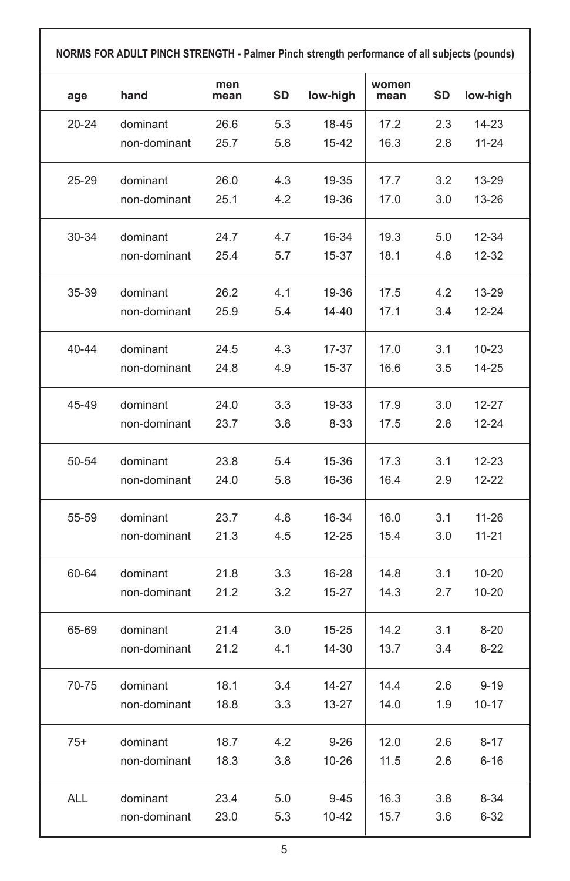| age   | hand         | men<br>mean | SD  | low-high | women<br>mean | SD  | low-high  |
|-------|--------------|-------------|-----|----------|---------------|-----|-----------|
| 20-24 | dominant     | 26.6        | 5.3 | 18-45    | 17.2          | 2.3 | 14-23     |
|       | non-dominant | 25.7        | 5.8 | 15-42    | 16.3          | 2.8 | $11 - 24$ |
| 25-29 | dominant     | 26.0        | 4.3 | 19-35    | 17.7          | 3.2 | 13-29     |
|       | non-dominant | 25.1        | 4.2 | 19-36    | 17.0          | 3.0 | 13-26     |
| 30-34 | dominant     | 24.7        | 4.7 | 16-34    | 19.3          | 5.0 | 12-34     |
|       | non-dominant | 25.4        | 5.7 | 15-37    | 18.1          | 4.8 | 12-32     |
| 35-39 | dominant     | 26.2        | 4.1 | 19-36    | 17.5          | 4.2 | 13-29     |
|       | non-dominant | 25.9        | 5.4 | 14-40    | 17.1          | 3.4 | $12 - 24$ |
| 40-44 | dominant     | 24.5        | 4.3 | 17-37    | 17.0          | 3.1 | $10 - 23$ |
|       | non-dominant | 24.8        | 4.9 | 15-37    | 16.6          | 3.5 | 14-25     |
| 45-49 | dominant     | 24.0        | 3.3 | 19-33    | 17.9          | 3.0 | 12-27     |
|       | non-dominant | 23.7        | 3.8 | $8 - 33$ | 17.5          | 2.8 | 12-24     |
| 50-54 | dominant     | 23.8        | 5.4 | 15-36    | 17.3          | 3.1 | $12 - 23$ |
|       | non-dominant | 24.0        | 5.8 | 16-36    | 16.4          | 2.9 | 12-22     |
| 55-59 | dominant     | 23.7        | 4.8 | 16-34    | 16.0          | 3.1 | $11 - 26$ |
|       | non-dominant | 21.3        | 4.5 | 12-25    | 15.4          | 3.0 | $11 - 21$ |
| 60-64 | dominant     | 21.8        | 3.3 | 16-28    | 14.8          | 3.1 | 10-20     |
|       | non-dominant | 21.2        | 3.2 | 15-27    | 14.3          | 2.7 | 10-20     |
| 65-69 | dominant     | 21.4        | 3.0 | 15-25    | 14.2          | 3.1 | $8 - 20$  |
|       | non-dominant | 21.2        | 4.1 | 14-30    | 13.7          | 3.4 | $8-22$    |
| 70-75 | dominant     | 18.1        | 3.4 | 14-27    | 14.4          | 2.6 | $9 - 19$  |
|       | non-dominant | 18.8        | 3.3 | 13-27    | 14.0          | 1.9 | 10-17     |
| $75+$ | dominant     | 18.7        | 4.2 | $9 - 26$ | 12.0          | 2.6 | 8-17      |
|       | non-dominant | 18.3        | 3.8 | 10-26    | 11.5          | 2.6 | 6-16      |
| ALL   | dominant     | 23.4        | 5.0 | $9 - 45$ | 16.3          | 3.8 | $8 - 34$  |
|       | non-dominant | 23.0        | 5.3 | 10-42    | 15.7          | 3.6 | 6-32      |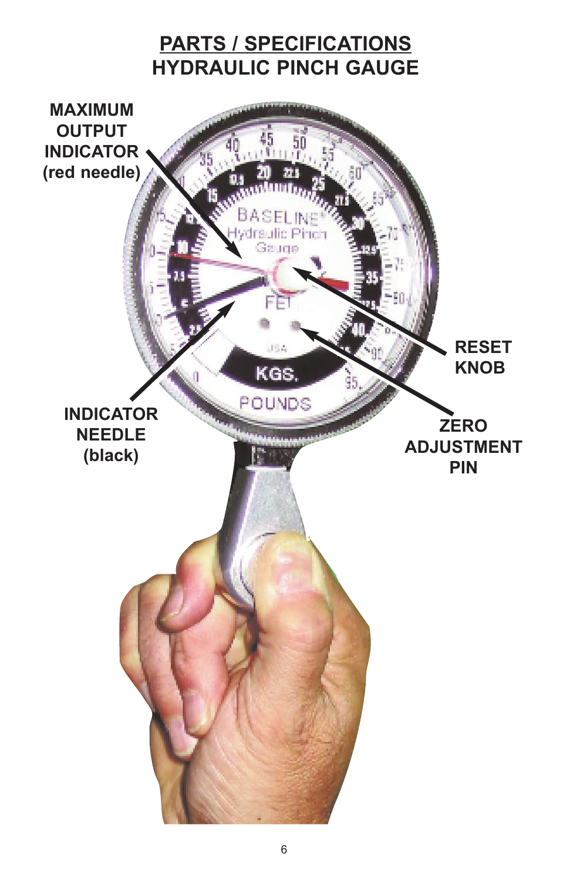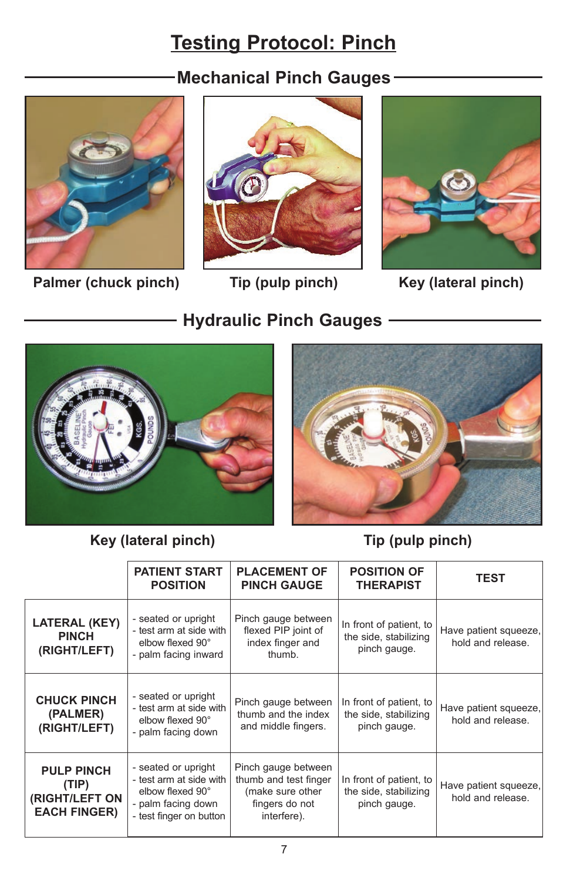# **Testing Protocol: Pinch**

## **Mechanical Pinch Gauges**



Palmer (chuck pinch) Tip (pulp pinch) Key (lateral pinch)



**Hydraulic Pinch Gauges**





**Key (lateral pinch) Tip (pulp pinch)**



|                                                                     | <b>PATIENT START</b><br><b>POSITION</b>                                                                             | <b>PLACEMENT OF</b><br><b>PINCH GAUGE</b>                                                         | <b>POSITION OF</b><br><b>THERAPIST</b>                           | <b>TEST</b>                                |
|---------------------------------------------------------------------|---------------------------------------------------------------------------------------------------------------------|---------------------------------------------------------------------------------------------------|------------------------------------------------------------------|--------------------------------------------|
| <b>LATERAL (KEY)</b><br><b>PINCH</b><br>(RIGHT/LEFT)                | - seated or upright<br>- test arm at side with<br>elbow flexed 90°<br>- palm facing inward                          | Pinch gauge between<br>flexed PIP joint of<br>index finger and<br>thumb.                          | In front of patient, to<br>the side, stabilizing<br>pinch gauge. | Have patient squeeze,<br>hold and release. |
| <b>CHUCK PINCH</b><br>(PALMER)<br>(RIGHT/LEFT)                      | - seated or upright<br>- test arm at side with<br>elbow flexed 90°<br>- palm facing down                            | Pinch gauge between<br>thumb and the index<br>and middle fingers.                                 | In front of patient, to<br>the side, stabilizing<br>pinch gauge. | Have patient squeeze,<br>hold and release. |
| <b>PULP PINCH</b><br>(TIP)<br>(RIGHT/LEFT ON<br><b>EACH FINGER)</b> | - seated or upright<br>- test arm at side with<br>elbow flexed 90°<br>- palm facing down<br>- test finger on button | Pinch gauge between<br>thumb and test finger<br>(make sure other<br>fingers do not<br>interfere). | In front of patient, to<br>the side, stabilizing<br>pinch gauge. | Have patient squeeze,<br>hold and release. |